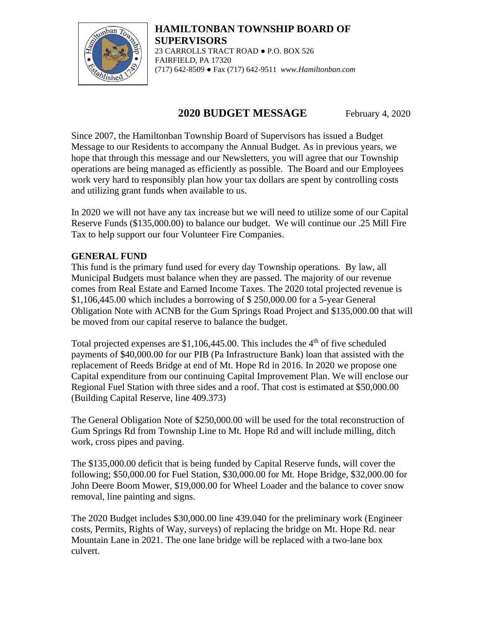

**HAMILTONBAN TOWNSHIP BOARD OF SUPERVISORS** 23 CARROLLS TRACT ROAD ● P.O. BOX 526 FAIRFIELD, PA 17320 (717) 642-8509 ● Fax (717) 642-9511 *www.Hamiltonban.com*

# **2020 BUDGET MESSAGE** February 4, 2020

Since 2007, the Hamiltonban Township Board of Supervisors has issued a Budget Message to our Residents to accompany the Annual Budget. As in previous years, we hope that through this message and our Newsletters, you will agree that our Township operations are being managed as efficiently as possible. The Board and our Employees work very hard to responsibly plan how your tax dollars are spent by controlling costs and utilizing grant funds when available to us.

In 2020 we will not have any tax increase but we will need to utilize some of our Capital Reserve Funds (\$135,000.00) to balance our budget. We will continue our .25 Mill Fire Tax to help support our four Volunteer Fire Companies.

# **GENERAL FUND**

This fund is the primary fund used for every day Township operations. By law, all Municipal Budgets must balance when they are passed. The majority of our revenue comes from Real Estate and Earned Income Taxes. The 2020 total projected revenue is \$1,106,445.00 which includes a borrowing of \$ 250,000.00 for a 5-year General Obligation Note with ACNB for the Gum Springs Road Project and \$135,000.00 that will be moved from our capital reserve to balance the budget.

Total projected expenses are  $$1,106,445.00$ . This includes the  $4<sup>th</sup>$  of five scheduled payments of \$40,000.00 for our PIB (Pa Infrastructure Bank) loan that assisted with the replacement of Reeds Bridge at end of Mt. Hope Rd in 2016. In 2020 we propose one Capital expenditure from our continuing Capital Improvement Plan. We will enclose our Regional Fuel Station with three sides and a roof. That cost is estimated at \$50,000.00 (Building Capital Reserve, line 409.373)

The General Obligation Note of \$250,000.00 will be used for the total reconstruction of Gum Springs Rd from Township Line to Mt. Hope Rd and will include milling, ditch work, cross pipes and paving.

The \$135,000.00 deficit that is being funded by Capital Reserve funds, will cover the following; \$50,000.00 for Fuel Station, \$30,000.00 for Mt. Hope Bridge, \$32,000.00 for John Deere Boom Mower, \$19,000.00 for Wheel Loader and the balance to cover snow removal, line painting and signs.

The 2020 Budget includes \$30,000.00 line 439.040 for the preliminary work (Engineer costs, Permits, Rights of Way, surveys) of replacing the bridge on Mt. Hope Rd. near Mountain Lane in 2021. The one lane bridge will be replaced with a two-lane box culvert.